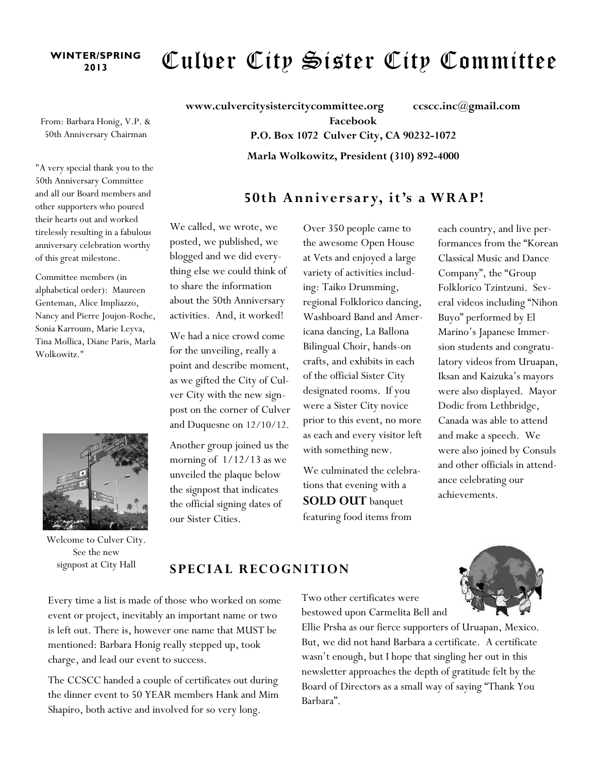## **WINTER/SPRING**

# <sup>ER/SPRING</sup> Culver City Sister City Committee

From: Barbara Honig, V.P. & 50th Anniversary Chairman

"A very special thank you to the 50th Anniversary Committee and all our Board members and other supporters who poured their hearts out and worked tirelessly resulting in a fabulous anniversary celebration worthy of this great milestone.

Committee members (in alphabetical order): Maureen Genteman, Alice Impliazzo, Nancy and Pierre Joujon-Roche, Sonia Karroum, Marie Leyva, Tina Mollica, Diane Paris, Marla Wolkowitz."



Welcome to Culver City. See the new signpost at City Hall

**www.culvercitysistercitycommittee.org ccscc.inc@gmail.com Facebook P.O. Box 1072 Culver City, CA 90232-1072 Marla Wolkowitz, President (310) 892-4000**

#### **50th Anniversar y, it's a WRAP!**

We called, we wrote, we posted, we published, we blogged and we did everything else we could think of to share the information about the 50th Anniversary activities. And, it worked!

We had a nice crowd come for the unveiling, really a point and describe moment, as we gifted the City of Culver City with the new signpost on the corner of Culver and Duquesne on 12/10/12.

Another group joined us the morning of 1/12/13 as we unveiled the plaque below the signpost that indicates the official signing dates of our Sister Cities.

Over 350 people came to the awesome Open House at Vets and enjoyed a large variety of activities including: Taiko Drumming, regional Folklorico dancing, Washboard Band and Americana dancing, La Ballona Bilingual Choir, hands-on crafts, and exhibits in each of the official Sister City designated rooms. If you were a Sister City novice prior to this event, no more as each and every visitor left with something new.

We culminated the celebrations that evening with a **SOLD OUT** banquet featuring food items from

each country, and live performances from the "Korean Classical Music and Dance Company", the "Group Folklorico Tzintzuni. Several videos including "Nihon Buyo" performed by El Marino's Japanese Immersion students and congratulatory videos from Uruapan, Iksan and Kaizuka's mayors were also displayed. Mayor Dodic from Lethbridge, Canada was able to attend and make a speech. We were also joined by Consuls and other officials in attendance celebrating our achievements.

#### **SPECIA L RECOGNITION**

Every time a list is made of those who worked on some event or project, inevitably an important name or two is left out. There is, however one name that MUST be mentioned: Barbara Honig really stepped up, took charge, and lead our event to success.

The CCSCC handed a couple of certificates out during the dinner event to 50 YEAR members Hank and Mim Shapiro, both active and involved for so very long.

Two other certificates were bestowed upon Carmelita Bell and

Ellie Prsha as our fierce supporters of Uruapan, Mexico. But, we did not hand Barbara a certificate. A certificate wasn't enough, but I hope that singling her out in this newsletter approaches the depth of gratitude felt by the Board of Directors as a small way of saying "Thank You Barbara".